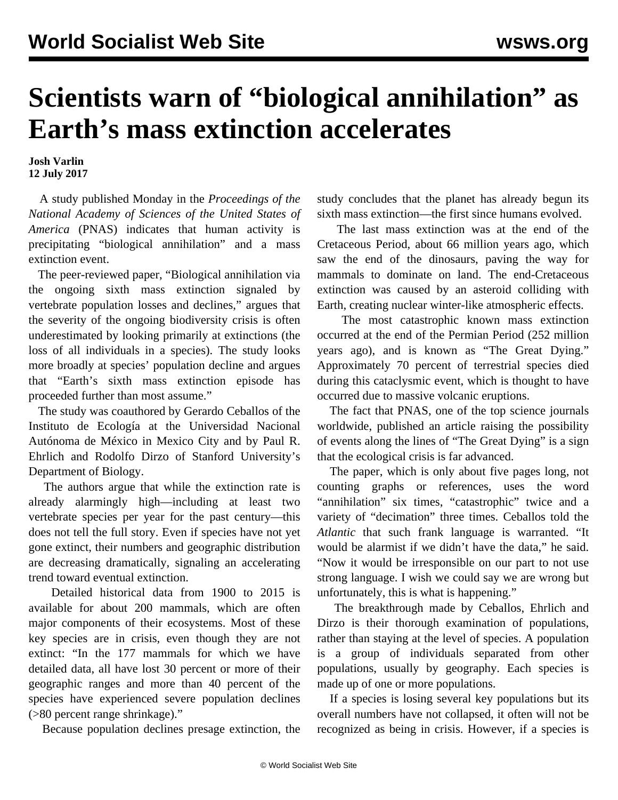## **Scientists warn of "biological annihilation" as Earth's mass extinction accelerates**

**Josh Varlin 12 July 2017**

 A [study](http://www.pnas.org/content/early/2017/07/05/1704949114.full) published Monday in the *Proceedings of the National Academy of Sciences of the United States of America* (PNAS) indicates that human activity is precipitating "biological annihilation" and a mass extinction event.

 The peer-reviewed paper, "Biological annihilation via the ongoing sixth mass extinction signaled by vertebrate population losses and declines," argues that the severity of the ongoing biodiversity crisis is often underestimated by looking primarily at extinctions (the loss of all individuals in a species). The study looks more broadly at species' population decline and argues that "Earth's sixth mass extinction episode has proceeded further than most assume."

 The study was coauthored by Gerardo Ceballos of the Instituto de Ecología at the Universidad Nacional Autónoma de México in Mexico City and by Paul R. Ehrlich and Rodolfo Dirzo of Stanford University's Department of Biology.

 The authors argue that while the extinction rate is already alarmingly high—including at least two vertebrate species per year for the past century—this does not tell the full story. Even if species have not yet gone extinct, their numbers and geographic distribution are decreasing dramatically, signaling an accelerating trend toward eventual extinction.

 Detailed historical data from 1900 to 2015 is available for about 200 mammals, which are often major components of their ecosystems. Most of these key species are in crisis, even though they are not extinct: "In the 177 mammals for which we have detailed data, all have lost 30 percent or more of their geographic ranges and more than 40 percent of the species have experienced severe population declines (>80 percent range shrinkage)."

Because population declines presage extinction, the

study concludes that the planet has already begun its sixth mass extinction—the first since humans evolved.

 The last mass extinction was at the end of the Cretaceous Period, about 66 million years ago, which saw the end of the dinosaurs, paving the way for mammals to dominate on land. The end-Cretaceous extinction was caused by an asteroid colliding with Earth, creating nuclear winter-like atmospheric effects.

 The most catastrophic known mass extinction occurred at the end of the Permian Period (252 million years ago), and is known as "The Great Dying." Approximately 70 percent of terrestrial species died during this cataclysmic event, which is thought to have occurred due to massive volcanic eruptions.

 The fact that PNAS, one of the top science journals worldwide, published an article raising the possibility of events along the lines of "The Great Dying" is a sign that the ecological crisis is far advanced.

 The paper, which is only about five pages long, not counting graphs or references, uses the word "annihilation" six times, "catastrophic" twice and a variety of "decimation" three times. Ceballos told the *Atlantic* that such frank language is warranted. "It would be alarmist if we didn't have the data," he said. "Now it would be irresponsible on our part to not use strong language. I wish we could say we are wrong but unfortunately, this is what is happening."

 The breakthrough made by Ceballos, Ehrlich and Dirzo is their thorough examination of populations, rather than staying at the level of species. A population is a group of individuals separated from other populations, usually by geography. Each species is made up of one or more populations.

 If a species is losing several key populations but its overall numbers have not collapsed, it often will not be recognized as being in crisis. However, if a species is